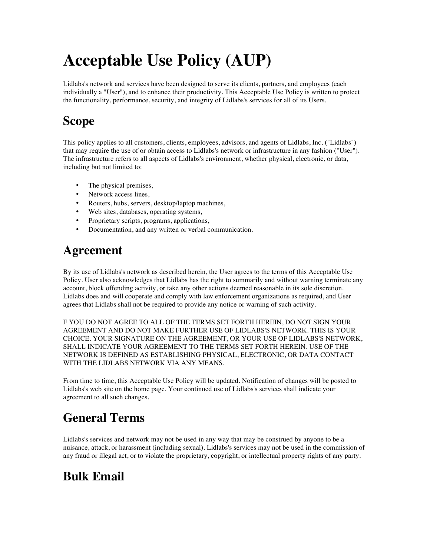# **Acceptable Use Policy (AUP)**

Lidlabs's network and services have been designed to serve its clients, partners, and employees (each individually a "User"), and to enhance their productivity. This Acceptable Use Policy is written to protect the functionality, performance, security, and integrity of Lidlabs's services for all of its Users.

### **Scope**

This policy applies to all customers, clients, employees, advisors, and agents of Lidlabs, Inc. ("Lidlabs") that may require the use of or obtain access to Lidlabs's network or infrastructure in any fashion ("User"). The infrastructure refers to all aspects of Lidlabs's environment, whether physical, electronic, or data, including but not limited to:

- The physical premises,
- Network access lines,
- Routers, hubs, servers, desktop/laptop machines,
- Web sites, databases, operating systems,
- Proprietary scripts, programs, applications,
- Documentation, and any written or verbal communication.

### **Agreement**

By its use of Lidlabs's network as described herein, the User agrees to the terms of this Acceptable Use Policy. User also acknowledges that Lidlabs has the right to summarily and without warning terminate any account, block offending activity, or take any other actions deemed reasonable in its sole discretion. Lidlabs does and will cooperate and comply with law enforcement organizations as required, and User agrees that Lidlabs shall not be required to provide any notice or warning of such activity.

F YOU DO NOT AGREE TO ALL OF THE TERMS SET FORTH HEREIN, DO NOT SIGN YOUR AGREEMENT AND DO NOT MAKE FURTHER USE OF LIDLABS'S NETWORK. THIS IS YOUR CHOICE. YOUR SIGNATURE ON THE AGREEMENT, OR YOUR USE OF LIDLABS'S NETWORK, SHALL INDICATE YOUR AGREEMENT TO THE TERMS SET FORTH HEREIN. USE OF THE NETWORK IS DEFINED AS ESTABLISHING PHYSICAL, ELECTRONIC, OR DATA CONTACT WITH THE LIDLABS NETWORK VIA ANY MEANS.

From time to time, this Acceptable Use Policy will be updated. Notification of changes will be posted to Lidlabs's web site on the home page. Your continued use of Lidlabs's services shall indicate your agreement to all such changes.

# **General Terms**

Lidlabs's services and network may not be used in any way that may be construed by anyone to be a nuisance, attack, or harassment (including sexual). Lidlabs's services may not be used in the commission of any fraud or illegal act, or to violate the proprietary, copyright, or intellectual property rights of any party.

### **Bulk Email**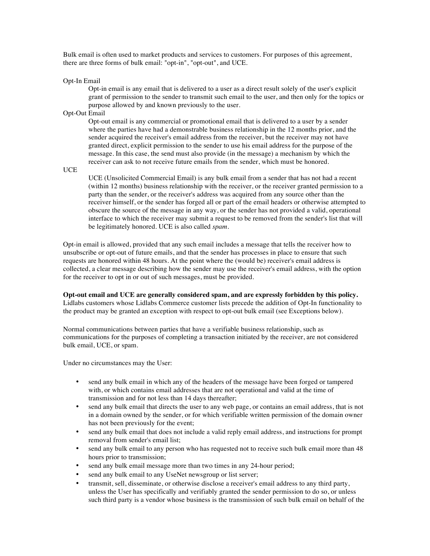Bulk email is often used to market products and services to customers. For purposes of this agreement, there are three forms of bulk email: "opt-in", "opt-out", and UCE.

#### Opt-In Email

Opt-in email is any email that is delivered to a user as a direct result solely of the user's explicit grant of permission to the sender to transmit such email to the user, and then only for the topics or purpose allowed by and known previously to the user.

#### Opt-Out Email

Opt-out email is any commercial or promotional email that is delivered to a user by a sender where the parties have had a demonstrable business relationship in the 12 months prior, and the sender acquired the receiver's email address from the receiver, but the receiver may not have granted direct, explicit permission to the sender to use his email address for the purpose of the message. In this case, the send must also provide (in the message) a mechanism by which the receiver can ask to not receive future emails from the sender, which must be honored.

**UCE** 

UCE (Unsolicited Commercial Email) is any bulk email from a sender that has not had a recent (within 12 months) business relationship with the receiver, or the receiver granted permission to a party than the sender, or the receiver's address was acquired from any source other than the receiver himself, or the sender has forged all or part of the email headers or otherwise attempted to obscure the source of the message in any way, or the sender has not provided a valid, operational interface to which the receiver may submit a request to be removed from the sender's list that will be legitimately honored. UCE is also called *spam*.

Opt-in email is allowed, provided that any such email includes a message that tells the receiver how to unsubscribe or opt-out of future emails, and that the sender has processes in place to ensure that such requests are honored within 48 hours. At the point where the (would be) receiver's email address is collected, a clear message describing how the sender may use the receiver's email address, with the option for the receiver to opt in or out of such messages, must be provided.

#### **Opt-out email and UCE are generally considered spam, and are expressly forbidden by this policy.**

Lidlabs customers whose Lidlabs Commerce customer lists precede the addition of Opt-In functionality to the product may be granted an exception with respect to opt-out bulk email (see Exceptions below).

Normal communications between parties that have a verifiable business relationship, such as communications for the purposes of completing a transaction initiated by the receiver, are not considered bulk email, UCE, or spam.

Under no circumstances may the User:

- send any bulk email in which any of the headers of the message have been forged or tampered with, or which contains email addresses that are not operational and valid at the time of transmission and for not less than 14 days thereafter;
- send any bulk email that directs the user to any web page, or contains an email address, that is not in a domain owned by the sender, or for which verifiable written permission of the domain owner has not been previously for the event;
- send any bulk email that does not include a valid reply email address, and instructions for prompt removal from sender's email list;
- send any bulk email to any person who has requested not to receive such bulk email more than 48 hours prior to transmission;
- send any bulk email message more than two times in any 24-hour period;
- send any bulk email to any UseNet newsgroup or list server;
- transmit, sell, disseminate, or otherwise disclose a receiver's email address to any third party, unless the User has specifically and verifiably granted the sender permission to do so, or unless such third party is a vendor whose business is the transmission of such bulk email on behalf of the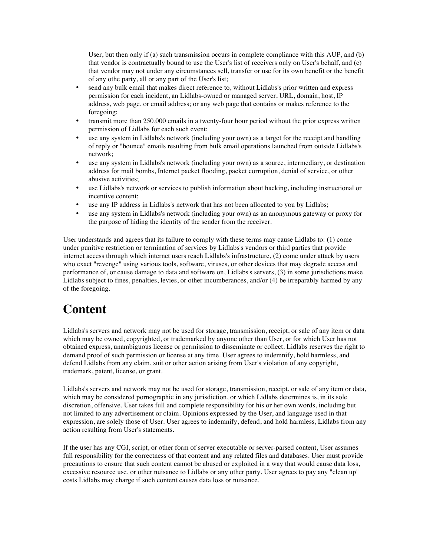User, but then only if (a) such transmission occurs in complete compliance with this AUP, and (b) that vendor is contractually bound to use the User's list of receivers only on User's behalf, and (c) that vendor may not under any circumstances sell, transfer or use for its own benefit or the benefit of any othe party, all or any part of the User's list;

- send any bulk email that makes direct reference to, without Lidlabs's prior written and express permission for each incident, an Lidlabs-owned or managed server, URL, domain, host, IP address, web page, or email address; or any web page that contains or makes reference to the foregoing;
- transmit more than 250,000 emails in a twenty-four hour period without the prior express written permission of Lidlabs for each such event;
- use any system in Lidlabs's network (including your own) as a target for the receipt and handling of reply or "bounce" emails resulting from bulk email operations launched from outside Lidlabs's network;
- use any system in Lidlabs's network (including your own) as a source, intermediary, or destination address for mail bombs, Internet packet flooding, packet corruption, denial of service, or other abusive activities;
- use Lidlabs's network or services to publish information about hacking, including instructional or incentive content;
- use any IP address in Lidlabs's network that has not been allocated to you by Lidlabs;
- use any system in Lidlabs's network (including your own) as an anonymous gateway or proxy for the purpose of hiding the identity of the sender from the receiver.

User understands and agrees that its failure to comply with these terms may cause Lidlabs to: (1) come under punitive restriction or termination of services by Lidlabs's vendors or third parties that provide internet access through which internet users reach Lidlabs's infrastructure, (2) come under attack by users who exact "revenge" using various tools, software, viruses, or other devices that may degrade access and performance of, or cause damage to data and software on, Lidlabs's servers, (3) in some jurisdictions make Lidlabs subject to fines, penalties, levies, or other incumberances, and/or (4) be irreparably harmed by any of the foregoing.

### **Content**

Lidlabs's servers and network may not be used for storage, transmission, receipt, or sale of any item or data which may be owned, copyrighted, or trademarked by anyone other than User, or for which User has not obtained express, unambiguous license or permission to disseminate or collect. Lidlabs reserves the right to demand proof of such permission or license at any time. User agrees to indemnify, hold harmless, and defend Lidlabs from any claim, suit or other action arising from User's violation of any copyright, trademark, patent, license, or grant.

Lidlabs's servers and network may not be used for storage, transmission, receipt, or sale of any item or data, which may be considered pornographic in any jurisdiction, or which Lidlabs determines is, in its sole discretion, offensive. User takes full and complete responsibility for his or her own words, including but not limited to any advertisement or claim. Opinions expressed by the User, and language used in that expression, are solely those of User. User agrees to indemnify, defend, and hold harmless, Lidlabs from any action resulting from User's statements.

If the user has any CGI, script, or other form of server executable or server-parsed content, User assumes full responsibility for the correctness of that content and any related files and databases. User must provide precautions to ensure that such content cannot be abused or exploited in a way that would cause data loss, excessive resource use, or other nuisance to Lidlabs or any other party. User agrees to pay any "clean up" costs Lidlabs may charge if such content causes data loss or nuisance.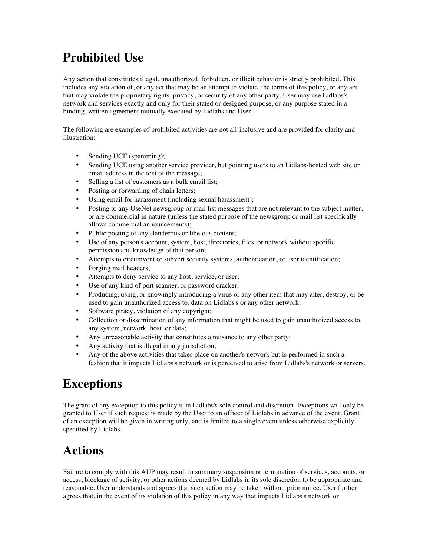# **Prohibited Use**

Any action that constitutes illegal, unauthorized, forbidden, or illicit behavior is strictly prohibited. This includes any violation of, or any act that may be an attempt to violate, the terms of this policy, or any act that may violate the proprietary rights, privacy, or security of any other party. User may use Lidlabs's network and services exactly and only for their stated or designed purpose, or any purpose stated in a binding, written agreement mutually executed by Lidlabs and User.

The following are examples of prohibited activities are not all-inclusive and are provided for clarity and illustration:

- Sending UCE (spamming);
- Sending UCE using another service provider, but pointing users to an Lidlabs-hosted web site or email address in the text of the message;
- Selling a list of customers as a bulk email list;
- Posting or forwarding of chain letters;
- Using email for harassment (including sexual harassment);
- Posting to any UseNet newsgroup or mail list messages that are not relevant to the subject matter, or are commercial in nature (unless the stated purpose of the newsgroup or mail list specifically allows commercial announcements);
- Public posting of any slanderous or libelous content;
- Use of any person's account, system, host, directories, files, or network without specific permission and knowledge of that person;
- Attempts to circumvent or subvert security systems, authentication, or user identification;
- Forging mail headers;
- Attempts to deny service to any host, service, or user;
- Use of any kind of port scanner, or password cracker;
- Producing, using, or knowingly introducing a virus or any other item that may alter, destroy, or be used to gain unauthorized access to, data on Lidlabs's or any other network;
- Software piracy, violation of any copyright;
- Collection or dissemination of any information that might be used to gain unauthorized access to any system, network, host, or data;
- Any unreasonable activity that constitutes a nuisance to any other party;
- Any activity that is illegal in any jurisdiction;
- Any of the above activities that takes place on another's network but is performed in such a fashion that it impacts Lidlabs's network or is perceived to arise from Lidlabs's network or servers.

### **Exceptions**

The grant of any exception to this policy is in Lidlabs's sole control and discretion. Exceptions will only be granted to User if such request is made by the User to an officer of Lidlabs in advance of the event. Grant of an exception will be given in writing only, and is limited to a single event unless otherwise explicitly specified by Lidlabs.

# **Actions**

Failure to comply with this AUP may result in summary suspension or termination of services, accounts, or access, blockage of activity, or other actions deemed by Lidlabs in its sole discretion to be appropriate and reasonable. User understands and agrees that such action may be taken without prior notice. User further agrees that, in the event of its violation of this policy in any way that impacts Lidlabs's network or